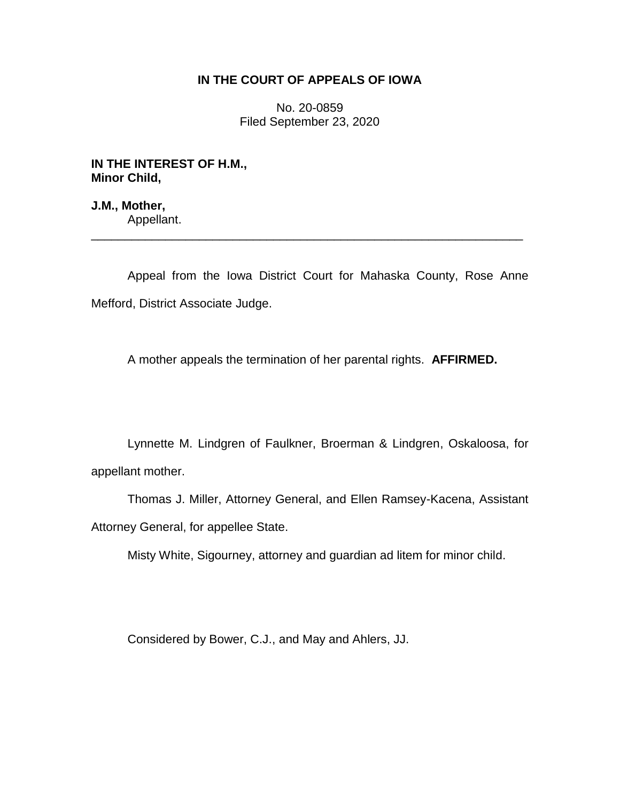## **IN THE COURT OF APPEALS OF IOWA**

No. 20-0859 Filed September 23, 2020

**IN THE INTEREST OF H.M., Minor Child,**

**J.M., Mother,** Appellant.

Appeal from the Iowa District Court for Mahaska County, Rose Anne Mefford, District Associate Judge.

\_\_\_\_\_\_\_\_\_\_\_\_\_\_\_\_\_\_\_\_\_\_\_\_\_\_\_\_\_\_\_\_\_\_\_\_\_\_\_\_\_\_\_\_\_\_\_\_\_\_\_\_\_\_\_\_\_\_\_\_\_\_\_\_

A mother appeals the termination of her parental rights. **AFFIRMED.**

Lynnette M. Lindgren of Faulkner, Broerman & Lindgren, Oskaloosa, for appellant mother.

Thomas J. Miller, Attorney General, and Ellen Ramsey-Kacena, Assistant Attorney General, for appellee State.

Misty White, Sigourney, attorney and guardian ad litem for minor child.

Considered by Bower, C.J., and May and Ahlers, JJ.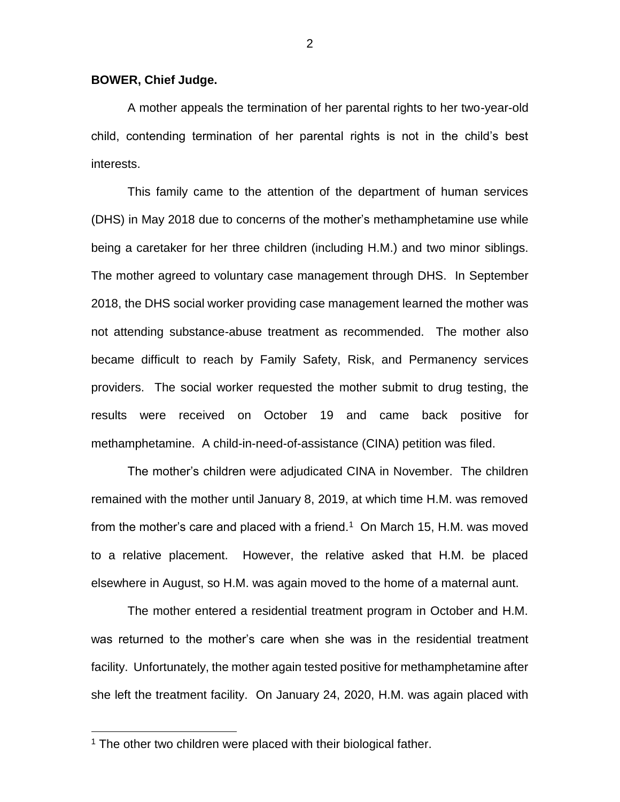## **BOWER, Chief Judge.**

A mother appeals the termination of her parental rights to her two-year-old child, contending termination of her parental rights is not in the child's best interests.

This family came to the attention of the department of human services (DHS) in May 2018 due to concerns of the mother's methamphetamine use while being a caretaker for her three children (including H.M.) and two minor siblings. The mother agreed to voluntary case management through DHS. In September 2018, the DHS social worker providing case management learned the mother was not attending substance-abuse treatment as recommended. The mother also became difficult to reach by Family Safety, Risk, and Permanency services providers. The social worker requested the mother submit to drug testing, the results were received on October 19 and came back positive for methamphetamine. A child-in-need-of-assistance (CINA) petition was filed.

The mother's children were adjudicated CINA in November. The children remained with the mother until January 8, 2019, at which time H.M. was removed from the mother's care and placed with a friend.<sup>1</sup> On March 15, H.M. was moved to a relative placement. However, the relative asked that H.M. be placed elsewhere in August, so H.M. was again moved to the home of a maternal aunt.

The mother entered a residential treatment program in October and H.M. was returned to the mother's care when she was in the residential treatment facility. Unfortunately, the mother again tested positive for methamphetamine after she left the treatment facility. On January 24, 2020, H.M. was again placed with

 $\overline{a}$ 

 $1$  The other two children were placed with their biological father.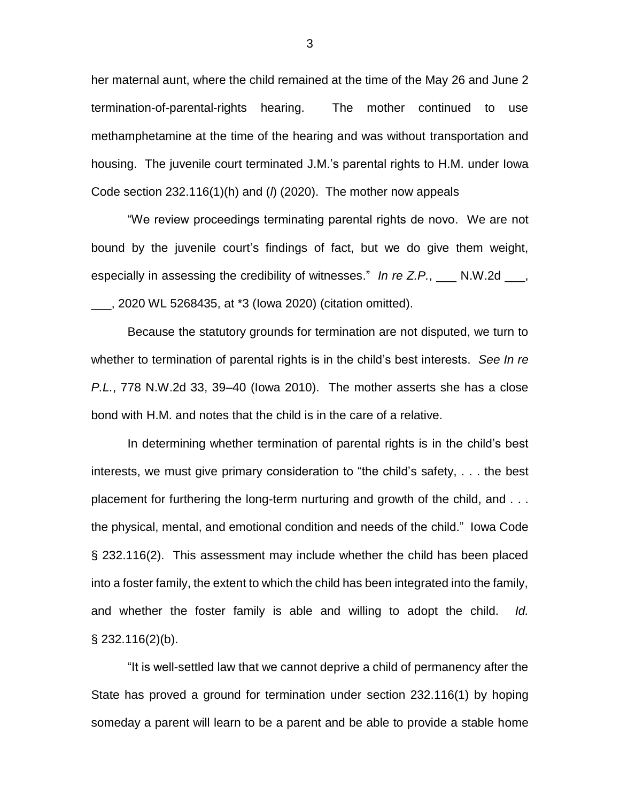her maternal aunt, where the child remained at the time of the May 26 and June 2 termination-of-parental-rights hearing. The mother continued to use methamphetamine at the time of the hearing and was without transportation and housing. The juvenile court terminated J.M.'s parental rights to H.M. under Iowa Code section 232.116(1)(h) and (*l*) (2020). The mother now appeals

"We review proceedings terminating parental rights de novo. We are not bound by the juvenile court's findings of fact, but we do give them weight, especially in assessing the credibility of witnesses." In re Z.P., \_\_\_ N.W.2d  $\blacksquare$ , \_\_\_, 2020 WL 5268435, at \*3 (Iowa 2020) (citation omitted).

Because the statutory grounds for termination are not disputed, we turn to whether to termination of parental rights is in the child's best interests. *See In re P.L.*, 778 N.W.2d 33, 39–40 (Iowa 2010). The mother asserts she has a close bond with H.M. and notes that the child is in the care of a relative.

In determining whether termination of parental rights is in the child's best interests, we must give primary consideration to "the child's safety, . . . the best placement for furthering the long-term nurturing and growth of the child, and . . . the physical, mental, and emotional condition and needs of the child." Iowa Code § 232.116(2). This assessment may include whether the child has been placed into a foster family, the extent to which the child has been integrated into the family, and whether the foster family is able and willing to adopt the child. *Id.* § 232.116(2)(b).

"It is well-settled law that we cannot deprive a child of permanency after the State has proved a ground for termination under section 232.116(1) by hoping someday a parent will learn to be a parent and be able to provide a stable home